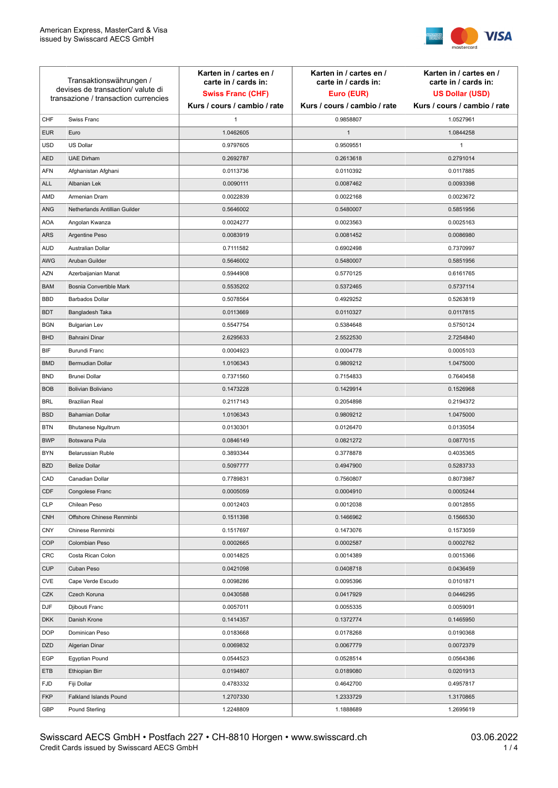

| Transaktionswährungen /<br>devises de transaction/valute di<br>transazione / transaction currencies |                               | Karten in / cartes en /<br>carte in / cards in:<br><b>Swiss Franc (CHF)</b> | Karten in / cartes en /<br>carte in / cards in:<br>Euro (EUR) | Karten in / cartes en /<br>carte in / cards in:<br><b>US Dollar (USD)</b> |
|-----------------------------------------------------------------------------------------------------|-------------------------------|-----------------------------------------------------------------------------|---------------------------------------------------------------|---------------------------------------------------------------------------|
|                                                                                                     |                               | Kurs / cours / cambio / rate                                                | Kurs / cours / cambio / rate                                  | Kurs / cours / cambio / rate                                              |
| CHF                                                                                                 | Swiss Franc                   | 1                                                                           | 0.9858807                                                     | 1.0527961                                                                 |
| <b>EUR</b>                                                                                          | Euro                          | 1.0462605                                                                   | $\mathbf{1}$                                                  | 1.0844258                                                                 |
| <b>USD</b>                                                                                          | US Dollar                     | 0.9797605                                                                   | 0.9509551                                                     | $\mathbf{1}$                                                              |
| <b>AED</b>                                                                                          | <b>UAE Dirham</b>             | 0.2692787                                                                   | 0.2613618                                                     | 0.2791014                                                                 |
| <b>AFN</b>                                                                                          | Afghanistan Afghani           | 0.0113736                                                                   | 0.0110392                                                     | 0.0117885                                                                 |
| ALL                                                                                                 | Albanian Lek                  | 0.0090111                                                                   | 0.0087462                                                     | 0.0093398                                                                 |
| AMD                                                                                                 | Armenian Dram                 | 0.0022839                                                                   | 0.0022168                                                     | 0.0023672                                                                 |
| ANG                                                                                                 | Netherlands Antillian Guilder | 0.5646002                                                                   | 0.5480007                                                     | 0.5851956                                                                 |
| <b>AOA</b>                                                                                          | Angolan Kwanza                | 0.0024277                                                                   | 0.0023563                                                     | 0.0025163                                                                 |
| ARS                                                                                                 | Argentine Peso                | 0.0083919                                                                   | 0.0081452                                                     | 0.0086980                                                                 |
| <b>AUD</b>                                                                                          | Australian Dollar             | 0.7111582                                                                   | 0.6902498                                                     | 0.7370997                                                                 |
| AWG                                                                                                 | Aruban Guilder                | 0.5646002                                                                   | 0.5480007                                                     | 0.5851956                                                                 |
| AZN                                                                                                 | Azerbaijanian Manat           | 0.5944908                                                                   | 0.5770125                                                     | 0.6161765                                                                 |
| <b>BAM</b>                                                                                          | Bosnia Convertible Mark       | 0.5535202                                                                   | 0.5372465                                                     | 0.5737114                                                                 |
| <b>BBD</b>                                                                                          | <b>Barbados Dollar</b>        | 0.5078564                                                                   | 0.4929252                                                     | 0.5263819                                                                 |
| <b>BDT</b>                                                                                          | Bangladesh Taka               | 0.0113669                                                                   | 0.0110327                                                     | 0.0117815                                                                 |
| <b>BGN</b>                                                                                          | <b>Bulgarian Lev</b>          | 0.5547754                                                                   | 0.5384648                                                     | 0.5750124                                                                 |
| <b>BHD</b>                                                                                          | Bahraini Dinar                | 2.6295633                                                                   | 2.5522530                                                     | 2.7254840                                                                 |
| BIF                                                                                                 | Burundi Franc                 | 0.0004923                                                                   | 0.0004778                                                     | 0.0005103                                                                 |
| <b>BMD</b>                                                                                          | Bermudian Dollar              | 1.0106343                                                                   | 0.9809212                                                     | 1.0475000                                                                 |
| <b>BND</b>                                                                                          | <b>Brunei Dollar</b>          | 0.7371560                                                                   | 0.7154833                                                     | 0.7640458                                                                 |
| <b>BOB</b>                                                                                          | Bolivian Boliviano            | 0.1473228                                                                   | 0.1429914                                                     | 0.1526968                                                                 |
| <b>BRL</b>                                                                                          | <b>Brazilian Real</b>         | 0.2117143                                                                   | 0.2054898                                                     | 0.2194372                                                                 |
| <b>BSD</b>                                                                                          | <b>Bahamian Dollar</b>        | 1.0106343                                                                   | 0.9809212                                                     | 1.0475000                                                                 |
| <b>BTN</b>                                                                                          | <b>Bhutanese Ngultrum</b>     | 0.0130301                                                                   | 0.0126470                                                     | 0.0135054                                                                 |
| <b>BWP</b>                                                                                          | Botswana Pula                 | 0.0846149                                                                   | 0.0821272                                                     | 0.0877015                                                                 |
| <b>BYN</b>                                                                                          | Belarussian Ruble             | 0.3893344                                                                   | 0.3778878                                                     | 0.4035365                                                                 |
| <b>BZD</b>                                                                                          | <b>Belize Dollar</b>          | 0.5097777                                                                   | 0.4947900                                                     | 0.5283733                                                                 |
| CAD                                                                                                 | Canadian Dollar               | 0.7789831                                                                   | 0.7560807                                                     | 0.8073987                                                                 |
| CDF                                                                                                 | Congolese Franc               | 0.0005059                                                                   | 0.0004910                                                     | 0.0005244                                                                 |
| <b>CLP</b>                                                                                          | Chilean Peso                  | 0.0012403                                                                   | 0.0012038                                                     | 0.0012855                                                                 |
| <b>CNH</b>                                                                                          | Offshore Chinese Renminbi     | 0.1511398                                                                   | 0.1466962                                                     | 0.1566530                                                                 |
| <b>CNY</b>                                                                                          | Chinese Renminbi              | 0.1517697                                                                   | 0.1473076                                                     | 0.1573059                                                                 |
| <b>COP</b>                                                                                          | Colombian Peso                | 0.0002665                                                                   | 0.0002587                                                     | 0.0002762                                                                 |
| CRC                                                                                                 | Costa Rican Colon             | 0.0014825                                                                   | 0.0014389                                                     | 0.0015366                                                                 |
| <b>CUP</b>                                                                                          | Cuban Peso                    | 0.0421098                                                                   | 0.0408718                                                     | 0.0436459                                                                 |
| CVE                                                                                                 | Cape Verde Escudo             | 0.0098286                                                                   | 0.0095396                                                     | 0.0101871                                                                 |
| CZK                                                                                                 | Czech Koruna                  | 0.0430588                                                                   | 0.0417929                                                     | 0.0446295                                                                 |
| <b>DJF</b>                                                                                          | Djibouti Franc                | 0.0057011                                                                   | 0.0055335                                                     | 0.0059091                                                                 |
| <b>DKK</b>                                                                                          | Danish Krone                  | 0.1414357                                                                   | 0.1372774                                                     | 0.1465950                                                                 |
| <b>DOP</b>                                                                                          | Dominican Peso                | 0.0183668                                                                   | 0.0178268                                                     | 0.0190368                                                                 |
| <b>DZD</b>                                                                                          | Algerian Dinar                | 0.0069832                                                                   | 0.0067779                                                     | 0.0072379                                                                 |
| EGP                                                                                                 | Egyptian Pound                | 0.0544523                                                                   | 0.0528514                                                     | 0.0564386                                                                 |
| ETB                                                                                                 | Ethiopian Birr                | 0.0194807                                                                   | 0.0189080                                                     | 0.0201913                                                                 |
| <b>FJD</b>                                                                                          | Fiji Dollar                   | 0.4783332                                                                   | 0.4642700                                                     | 0.4957817                                                                 |
| <b>FKP</b>                                                                                          | Falkland Islands Pound        | 1.2707330                                                                   | 1.2333729                                                     | 1.3170865                                                                 |
| GBP                                                                                                 | Pound Sterling                | 1.2248809                                                                   | 1.1888689                                                     | 1.2695619                                                                 |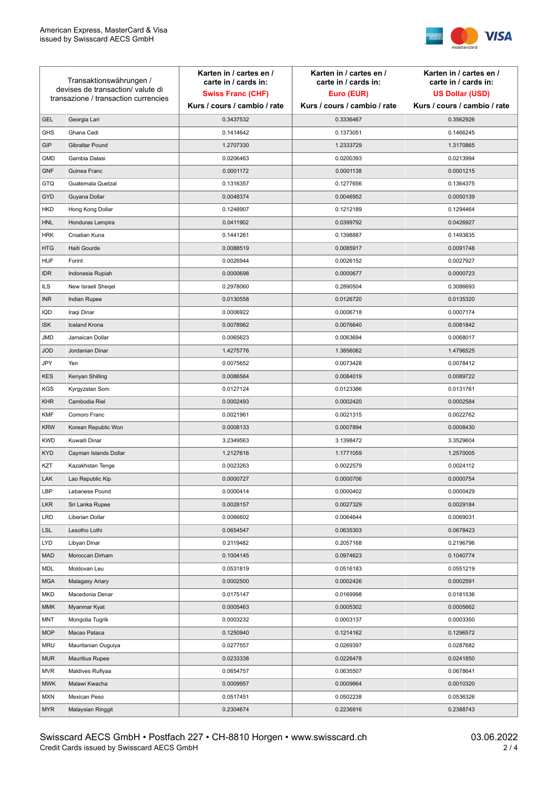

| Transaktionswährungen /<br>devises de transaction/valute di<br>transazione / transaction currencies |                        | Karten in / cartes en /<br>carte in / cards in: | Karten in / cartes en /<br>carte in / cards in: | Karten in / cartes en /<br>carte in / cards in: |
|-----------------------------------------------------------------------------------------------------|------------------------|-------------------------------------------------|-------------------------------------------------|-------------------------------------------------|
|                                                                                                     |                        | <b>Swiss Franc (CHF)</b>                        | Euro (EUR)                                      | <b>US Dollar (USD)</b>                          |
|                                                                                                     |                        | Kurs / cours / cambio / rate                    | Kurs / cours / cambio / rate                    | Kurs / cours / cambio / rate                    |
| <b>GEL</b>                                                                                          | Georgia Lari           | 0.3437532                                       | 0.3336467                                       | 0.3562926                                       |
| <b>GHS</b>                                                                                          | Ghana Cedi             | 0.1414642                                       | 0.1373051                                       | 0.1466245                                       |
| GIP                                                                                                 | Gibraltar Pound        | 1.2707330                                       | 1.2333729                                       | 1.3170865                                       |
| <b>GMD</b>                                                                                          | Gambia Dalasi          | 0.0206463                                       | 0.0200393                                       | 0.0213994                                       |
| <b>GNF</b>                                                                                          | Guinea Franc           | 0.0001172                                       | 0.0001138                                       | 0.0001215                                       |
| <b>GTQ</b>                                                                                          | Guatemala Quetzal      | 0.1316357                                       | 0.1277656                                       | 0.1364375                                       |
| GYD                                                                                                 | Guyana Dollar          | 0.0048374                                       | 0.0046952                                       | 0.0050139                                       |
| HKD                                                                                                 | Hong Kong Dollar       | 0.1248907                                       | 0.1212189                                       | 0.1294464                                       |
| <b>HNL</b>                                                                                          | Honduras Lempira       | 0.0411902                                       | 0.0399792                                       | 0.0426927                                       |
| <b>HRK</b>                                                                                          | Croatian Kuna          | 0.1441261                                       | 0.1398887                                       | 0.1493835                                       |
| <b>HTG</b>                                                                                          | Haiti Gourde           | 0.0088519                                       | 0.0085917                                       | 0.0091748                                       |
| <b>HUF</b>                                                                                          | Forint                 | 0.0026944                                       | 0.0026152                                       | 0.0027927                                       |
| <b>IDR</b>                                                                                          | Indonesia Rupiah       | 0.0000698                                       | 0.0000677                                       | 0.0000723                                       |
| <b>ILS</b>                                                                                          | New Israeli Sheqel     | 0.2978060                                       | 0.2890504                                       | 0.3086693                                       |
| <b>INR</b>                                                                                          | Indian Rupee           | 0.0130558                                       | 0.0126720                                       | 0.0135320                                       |
| IQD                                                                                                 | Iraqi Dinar            | 0.0006922                                       | 0.0006718                                       | 0.0007174                                       |
| <b>ISK</b>                                                                                          | <b>Iceland Krona</b>   | 0.0078962                                       | 0.0076640                                       | 0.0081842                                       |
| <b>JMD</b>                                                                                          | Jamaican Dollar        | 0.0065623                                       | 0.0063694                                       | 0.0068017                                       |
| <b>JOD</b>                                                                                          | Jordanian Dinar        | 1.4275776                                       | 1.3856062                                       | 1.4796525                                       |
| JPY                                                                                                 | Yen                    | 0.0075652                                       | 0.0073428                                       | 0.0078412                                       |
| <b>KES</b>                                                                                          | Kenyan Shilling        | 0.0086564                                       | 0.0084019                                       | 0.0089722                                       |
| <b>KGS</b>                                                                                          | Kyrgyzstan Som         | 0.0127124                                       | 0.0123386                                       | 0.0131761                                       |
| <b>KHR</b>                                                                                          | Cambodia Riel          | 0.0002493                                       | 0.0002420                                       | 0.0002584                                       |
| <b>KMF</b>                                                                                          | Comoro Franc           | 0.0021961                                       | 0.0021315                                       | 0.0022762                                       |
| <b>KRW</b>                                                                                          | Korean Republic Won    | 0.0008133                                       | 0.0007894                                       | 0.0008430                                       |
| <b>KWD</b>                                                                                          | Kuwaiti Dinar          | 3.2349563                                       | 3.1398472                                       | 3.3529604                                       |
| <b>KYD</b>                                                                                          | Cayman Islands Dollar  | 1.2127616                                       | 1.1771059                                       | 1.2570005                                       |
| KZT                                                                                                 | Kazakhstan Tenge       | 0.0023263                                       | 0.0022579                                       | 0.0024112                                       |
| LAK                                                                                                 | Lao Republic Kip       | 0.0000727                                       | 0.0000706                                       | 0.0000754                                       |
| LBP                                                                                                 | Lebanese Pound         | 0.0000414                                       | 0.0000402                                       | 0.0000429                                       |
| <b>LKR</b>                                                                                          | Sri Lanka Rupee        | 0.0028157                                       | 0.0027329                                       | 0.0029184                                       |
| <b>LRD</b>                                                                                          | Liberian Dollar        | 0.0066602                                       | 0.0064644                                       | 0.0069031                                       |
| <b>LSL</b>                                                                                          | Lesotho Lothi          | 0.0654547                                       | 0.0635303                                       | 0.0678423                                       |
| LYD                                                                                                 | Libyan Dinar           | 0.2119482                                       | 0.2057168                                       | 0.2196796                                       |
| <b>MAD</b>                                                                                          | Moroccan Dirham        | 0.1004145                                       | 0.0974623                                       | 0.1040774                                       |
| MDL                                                                                                 | Moldovan Leu           | 0.0531819                                       | 0.0516183                                       | 0.0551219                                       |
| <b>MGA</b>                                                                                          | Malagasy Ariary        | 0.0002500                                       | 0.0002426                                       | 0.0002591                                       |
| MKD                                                                                                 | Macedonia Denar        | 0.0175147                                       | 0.0169998                                       | 0.0181536                                       |
| <b>MMK</b>                                                                                          | Myanmar Kyat           | 0.0005463                                       | 0.0005302                                       | 0.0005662                                       |
| <b>MNT</b>                                                                                          | Mongolia Tugrik        | 0.0003232                                       | 0.0003137                                       | 0.0003350                                       |
| <b>MOP</b>                                                                                          | Macao Pataca           | 0.1250940                                       | 0.1214162                                       | 0.1296572                                       |
| <b>MRU</b>                                                                                          | Mauritanian Ouguiya    | 0.0277557                                       | 0.0269397                                       | 0.0287682                                       |
| <b>MUR</b>                                                                                          | <b>Mauritius Rupee</b> | 0.0233338                                       | 0.0226478                                       | 0.0241850                                       |
| <b>MVR</b>                                                                                          | Maldives Rufiyaa       | 0.0654757                                       | 0.0635507                                       | 0.0678641                                       |
| <b>MWK</b>                                                                                          | Malawi Kwacha          | 0.0009957                                       | 0.0009664                                       | 0.0010320                                       |
| <b>MXN</b>                                                                                          | Mexican Peso           | 0.0517451                                       | 0.0502238                                       | 0.0536326                                       |
| <b>MYR</b>                                                                                          | Malaysian Ringgit      | 0.2304674                                       | 0.2236916                                       | 0.2388743                                       |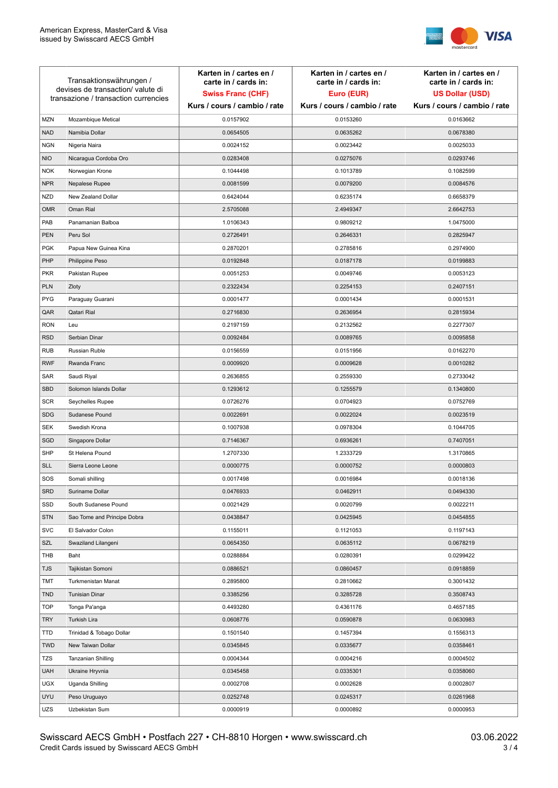

| Transaktionswährungen /<br>devises de transaction/valute di<br>transazione / transaction currencies |                             | Karten in / cartes en /<br>carte in / cards in:<br><b>Swiss Franc (CHF)</b> | Karten in / cartes en /<br>carte in / cards in:<br>Euro (EUR) | Karten in / cartes en /<br>carte in / cards in:<br><b>US Dollar (USD)</b> |
|-----------------------------------------------------------------------------------------------------|-----------------------------|-----------------------------------------------------------------------------|---------------------------------------------------------------|---------------------------------------------------------------------------|
|                                                                                                     |                             | Kurs / cours / cambio / rate                                                | Kurs / cours / cambio / rate                                  | Kurs / cours / cambio / rate                                              |
| <b>MZN</b>                                                                                          | Mozambique Metical          | 0.0157902                                                                   | 0.0153260                                                     | 0.0163662                                                                 |
| <b>NAD</b>                                                                                          | Namibia Dollar              | 0.0654505                                                                   | 0.0635262                                                     | 0.0678380                                                                 |
| <b>NGN</b>                                                                                          | Nigeria Naira               | 0.0024152                                                                   | 0.0023442                                                     | 0.0025033                                                                 |
| <b>NIO</b>                                                                                          | Nicaragua Cordoba Oro       | 0.0283408                                                                   | 0.0275076                                                     | 0.0293746                                                                 |
| <b>NOK</b>                                                                                          | Norwegian Krone             | 0.1044498                                                                   | 0.1013789                                                     | 0.1082599                                                                 |
| <b>NPR</b>                                                                                          | Nepalese Rupee              | 0.0081599                                                                   | 0.0079200                                                     | 0.0084576                                                                 |
| <b>NZD</b>                                                                                          | New Zealand Dollar          | 0.6424044                                                                   | 0.6235174                                                     | 0.6658379                                                                 |
| <b>OMR</b>                                                                                          | Oman Rial                   | 2.5705088                                                                   | 2.4949347                                                     | 2.6642753                                                                 |
| PAB                                                                                                 | Panamanian Balboa           | 1.0106343                                                                   | 0.9809212                                                     | 1.0475000                                                                 |
| <b>PEN</b>                                                                                          | Peru Sol                    | 0.2726491                                                                   | 0.2646331                                                     | 0.2825947                                                                 |
| <b>PGK</b>                                                                                          | Papua New Guinea Kina       | 0.2870201                                                                   | 0.2785816                                                     | 0.2974900                                                                 |
| PHP                                                                                                 | Philippine Peso             | 0.0192848                                                                   | 0.0187178                                                     | 0.0199883                                                                 |
| <b>PKR</b>                                                                                          | Pakistan Rupee              | 0.0051253                                                                   | 0.0049746                                                     | 0.0053123                                                                 |
| <b>PLN</b>                                                                                          | Zloty                       | 0.2322434                                                                   | 0.2254153                                                     | 0.2407151                                                                 |
| <b>PYG</b>                                                                                          | Paraguay Guarani            | 0.0001477                                                                   | 0.0001434                                                     | 0.0001531                                                                 |
| QAR                                                                                                 | Qatari Rial                 | 0.2716830                                                                   | 0.2636954                                                     | 0.2815934                                                                 |
| <b>RON</b>                                                                                          | Leu                         | 0.2197159                                                                   | 0.2132562                                                     | 0.2277307                                                                 |
| <b>RSD</b>                                                                                          | Serbian Dinar               | 0.0092484                                                                   | 0.0089765                                                     | 0.0095858                                                                 |
| <b>RUB</b>                                                                                          | Russian Ruble               | 0.0156559                                                                   | 0.0151956                                                     | 0.0162270                                                                 |
| <b>RWF</b>                                                                                          | Rwanda Franc                | 0.0009920                                                                   | 0.0009628                                                     | 0.0010282                                                                 |
| SAR                                                                                                 | Saudi Riyal                 | 0.2636855                                                                   | 0.2559330                                                     | 0.2733042                                                                 |
| SBD                                                                                                 | Solomon Islands Dollar      | 0.1293612                                                                   | 0.1255579                                                     | 0.1340800                                                                 |
| <b>SCR</b>                                                                                          | Seychelles Rupee            | 0.0726276                                                                   | 0.0704923                                                     | 0.0752769                                                                 |
| <b>SDG</b>                                                                                          | Sudanese Pound              | 0.0022691                                                                   | 0.0022024                                                     | 0.0023519                                                                 |
| <b>SEK</b>                                                                                          | Swedish Krona               | 0.1007938                                                                   | 0.0978304                                                     | 0.1044705                                                                 |
| SGD                                                                                                 | Singapore Dollar            | 0.7146367                                                                   | 0.6936261                                                     | 0.7407051                                                                 |
| <b>SHP</b>                                                                                          | St Helena Pound             | 1.2707330                                                                   | 1.2333729                                                     | 1.3170865                                                                 |
| <b>SLL</b>                                                                                          | Sierra Leone Leone          | 0.0000775                                                                   | 0.0000752                                                     | 0.0000803                                                                 |
| SOS                                                                                                 | Somali shilling             | 0.0017498                                                                   | 0.0016984                                                     | 0.0018136                                                                 |
| SRD                                                                                                 | Suriname Dollar             | 0.0476933                                                                   | 0.0462911                                                     | 0.0494330                                                                 |
| SSD                                                                                                 | South Sudanese Pound        | 0.0021429                                                                   | 0.0020799                                                     | 0.0022211                                                                 |
| <b>STN</b>                                                                                          | Sao Tome and Principe Dobra | 0.0438847                                                                   | 0.0425945                                                     | 0.0454855                                                                 |
| <b>SVC</b>                                                                                          | El Salvador Colon           | 0.1155011                                                                   | 0.1121053                                                     | 0.1197143                                                                 |
| SZL                                                                                                 | Swaziland Lilangeni         | 0.0654350                                                                   | 0.0635112                                                     | 0.0678219                                                                 |
| THB                                                                                                 | Baht                        | 0.0288884                                                                   | 0.0280391                                                     | 0.0299422                                                                 |
| <b>TJS</b>                                                                                          | Tajikistan Somoni           | 0.0886521                                                                   | 0.0860457                                                     | 0.0918859                                                                 |
| <b>TMT</b>                                                                                          | Turkmenistan Manat          | 0.2895800                                                                   | 0.2810662                                                     | 0.3001432                                                                 |
| <b>TND</b>                                                                                          | <b>Tunisian Dinar</b>       | 0.3385256                                                                   | 0.3285728                                                     | 0.3508743                                                                 |
| <b>TOP</b>                                                                                          | Tonga Pa'anga               | 0.4493280                                                                   | 0.4361176                                                     | 0.4657185                                                                 |
| <b>TRY</b>                                                                                          | Turkish Lira                | 0.0608776                                                                   | 0.0590878                                                     | 0.0630983                                                                 |
| TTD                                                                                                 | Trinidad & Tobago Dollar    | 0.1501540                                                                   | 0.1457394                                                     | 0.1556313                                                                 |
| <b>TWD</b>                                                                                          | New Taiwan Dollar           | 0.0345845                                                                   | 0.0335677                                                     | 0.0358461                                                                 |
| <b>TZS</b>                                                                                          | Tanzanian Shilling          | 0.0004344                                                                   | 0.0004216                                                     | 0.0004502                                                                 |
| <b>UAH</b>                                                                                          | Ukraine Hryvnia             | 0.0345458                                                                   | 0.0335301                                                     | 0.0358060                                                                 |
| <b>UGX</b>                                                                                          | Uganda Shilling             | 0.0002708                                                                   | 0.0002628                                                     | 0.0002807                                                                 |
| <b>UYU</b>                                                                                          | Peso Uruguayo               | 0.0252748                                                                   | 0.0245317                                                     | 0.0261968                                                                 |
| UZS                                                                                                 | Uzbekistan Sum              | 0.0000919                                                                   | 0.0000892                                                     | 0.0000953                                                                 |